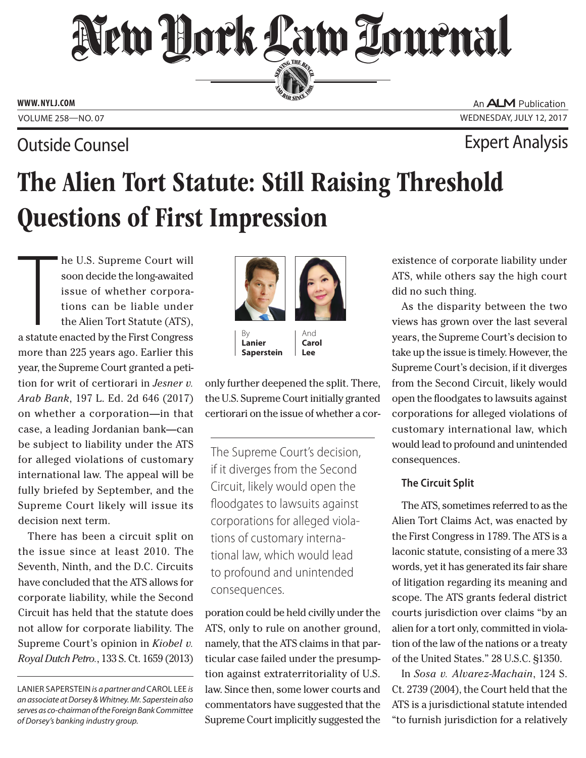# New Dock Law Lournal SERVING THE BEA

**PERSONAL SINCE 1888** 

**WWW. NYLJ.COM**

### Outside Counsel Expert Analysis

An **ALM** Publication VOLUME 258—NO. 07 WEDNESDAY, JULY 12, 2017

## The Alien Tort Statute: Still Raising Threshold Questions of First Impression

The U.S. Supreme Court will<br>soon decide the long-awaited<br>issue of whether corpora-<br>tions can be liable under<br>the Alien Tort Statute (ATS),<br>a statute enacted by the First Congress he U.S. Supreme Court will soon decide the long-awaited issue of whether corporations can be liable under the Alien Tort Statute (ATS), more than 225 years ago. Earlier this year, the Supreme Court granted a petition for writ of certiorari in *Jesner v. Arab Bank*, 197 L. Ed. 2d 646 (2017) on whether a corporation—in that case, a leading Jordanian bank—can be subject to liability under the ATS for alleged violations of customary international law. The appeal will be fully briefed by September, and the Supreme Court likely will issue its decision next term.

There has been a circuit split on the issue since at least 2010. The Seventh, Ninth, and the D.C. Circuits have concluded that the ATS allows for corporate liability, while the Second Circuit has held that the statute does not allow for corporate liability. The Supreme Court's opinion in *Kiobel v. Royal Dutch Petro.*, 133 S. Ct. 1659 (2013)

LANIER SAPERSTEIN *is a partner and* CAROL LEE *is an associate at Dorsey & Whitney. Mr. Saperstein also serves as co-chairman of the Foreign Bank Committee of Dorsey's banking industry group.*



**Saperstein**

By

**Lanier**  And **Carol** 

only further deepened the split. There, the U.S. Supreme Court initially granted certiorari on the issue of whether a cor-

**Lee**

The Supreme Court's decision, if it diverges from the Second Circuit, likely would open the floodgates to lawsuits against corporations for alleged violations of customary international law, which would lead to profound and unintended consequences.

poration could be held civilly under the ATS, only to rule on another ground, namely, that the ATS claims in that particular case failed under the presumption against extraterritoriality of U.S. law. Since then, some lower courts and commentators have suggested that the Supreme Court implicitly suggested the

existence of corporate liability under ATS, while others say the high court did no such thing.

As the disparity between the two views has grown over the last several years, the Supreme Court's decision to take up the issue is timely. However, the Supreme Court's decision, if it diverges from the Second Circuit, likely would open the floodgates to lawsuits against corporations for alleged violations of customary international law, which would lead to profound and unintended consequences.

### **The Circuit Split**

The ATS, sometimes referred to as the Alien Tort Claims Act, was enacted by the First Congress in 1789. The ATS is a laconic statute, consisting of a mere 33 words, yet it has generated its fair share of litigation regarding its meaning and scope. The ATS grants federal district courts jurisdiction over claims "by an alien for a tort only, committed in violation of the law of the nations or a treaty of the United States." 28 U.S.C. §1350.

In *Sosa v. Alvarez-Machain*, 124 S. Ct. 2739 (2004), the Court held that the ATS is a jurisdictional statute intended "to furnish jurisdiction for a relatively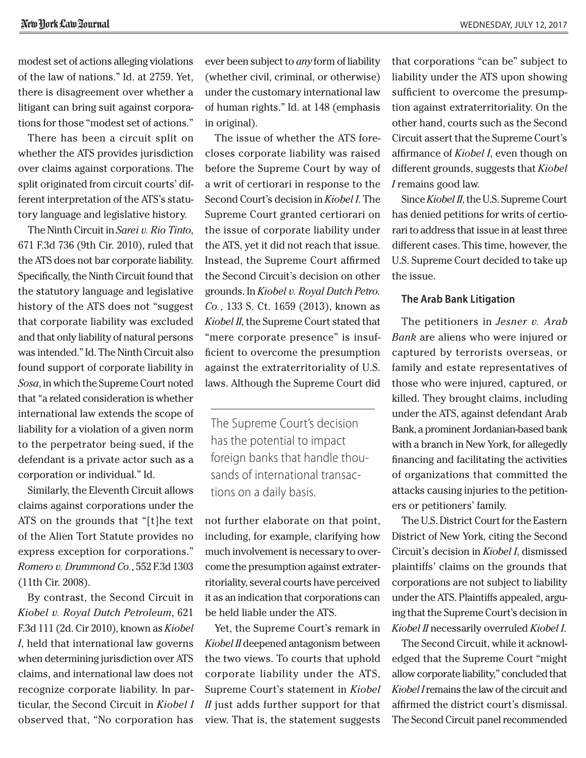modest set of actions alleging violations of the law of nations." Id. at 2759. Yet, there is disagreement over whether a litigant can bring suit against corporations for those "modest set of actions."

There has been a circuit split on whether the ATS provides jurisdiction over claims against corporations. The split originated from circuit courts' different interpretation of the ATS's statutory language and legislative history.

The Ninth Circuit in *Sarei v. Rio Tinto*, 671 F.3d 736 (9th Cir. 2010), ruled that the ATS does not bar corporate liability. Specifically, the Ninth Circuit found that the statutory language and legislative history of the ATS does not "suggest that corporate liability was excluded and that only liability of natural persons was intended." Id. The Ninth Circuit also found support of corporate liability in *Sosa*, in which the Supreme Court noted that "a related consideration is whether international law extends the scope of liability for a violation of a given norm to the perpetrator being sued, if the defendant is a private actor such as a corporation or individual." Id.

Similarly, the Eleventh Circuit allows claims against corporations under the ATS on the grounds that "[t]he text of the Alien Tort Statute provides no express exception for corporations." *Romero v. Drummond Co.*, 552 F.3d 1303 (11th Cir. 2008).

By contrast, the Second Circuit in *Kiobel v. Royal Dutch Petroleum*, 621 F.3d 111 (2d. Cir 2010), known as *Kiobel I*, held that international law governs when determining jurisdiction over ATS claims, and international law does not recognize corporate liability. In particular, the Second Circuit in *Kiobel I*  observed that, "No corporation has

ever been subject to *any* form of liability (whether civil, criminal, or otherwise) under the customary international law of human rights." Id. at 148 (emphasis in original).

The issue of whether the ATS forecloses corporate liability was raised before the Supreme Court by way of a writ of certiorari in response to the Second Court's decision in *Kiobel I*. The Supreme Court granted certiorari on the issue of corporate liability under the ATS, yet it did not reach that issue. Instead, the Supreme Court affirmed the Second Circuit's decision on other grounds. In *Kiobel v. Royal Dutch Petro. Co.*, 133 S. Ct. 1659 (2013), known as *Kiobel II*, the Supreme Court stated that "mere corporate presence" is insufficient to overcome the presumption against the extraterritoriality of U.S. laws. Although the Supreme Court did

The Supreme Court's decision has the potential to impact foreign banks that handle thousands of international transactions on a daily basis.

not further elaborate on that point, including, for example, clarifying how much involvement is necessary to overcome the presumption against extraterritoriality, several courts have perceived it as an indication that corporations can be held liable under the ATS.

Yet, the Supreme Court's remark in *Kiobel II* deepened antagonism between the two views. To courts that uphold corporate liability under the ATS, Supreme Court's statement in *Kiobel II* just adds further support for that view. That is, the statement suggests

that corporations "can be" subject to liability under the ATS upon showing sufficient to overcome the presumption against extraterritoriality. On the other hand, courts such as the Second Circuit assert that the Supreme Court's affirmance of *Kiobel I*, even though on different grounds, suggests that *Kiobel I* remains good law.

Since *Kiobel II*, the U.S. Supreme Court has denied petitions for writs of certiorari to address that issue in at least three different cases. This time, however, the U.S. Supreme Court decided to take up the issue.

#### **The Arab Bank Litigation**

The petitioners in *Jesner v. Arab Bank* are aliens who were injured or captured by terrorists overseas, or family and estate representatives of those who were injured, captured, or killed. They brought claims, including under the ATS, against defendant Arab Bank, a prominent Jordanian-based bank with a branch in New York, for allegedly financing and facilitating the activities of organizations that committed the attacks causing injuries to the petitioners or petitioners' family.

The U.S. District Court for the Eastern District of New York, citing the Second Circuit's decision in *Kiobel I*, dismissed plaintiffs' claims on the grounds that corporations are not subject to liability under the ATS. Plaintiffs appealed, arguing that the Supreme Court's decision in *Kiobel II* necessarily overruled *Kiobel I*.

The Second Circuit, while it acknowledged that the Supreme Court "might allow corporate liability," concluded that *Kiobel I* remains the law of the circuit and affirmed the district court's dismissal. The Second Circuit panel recommended